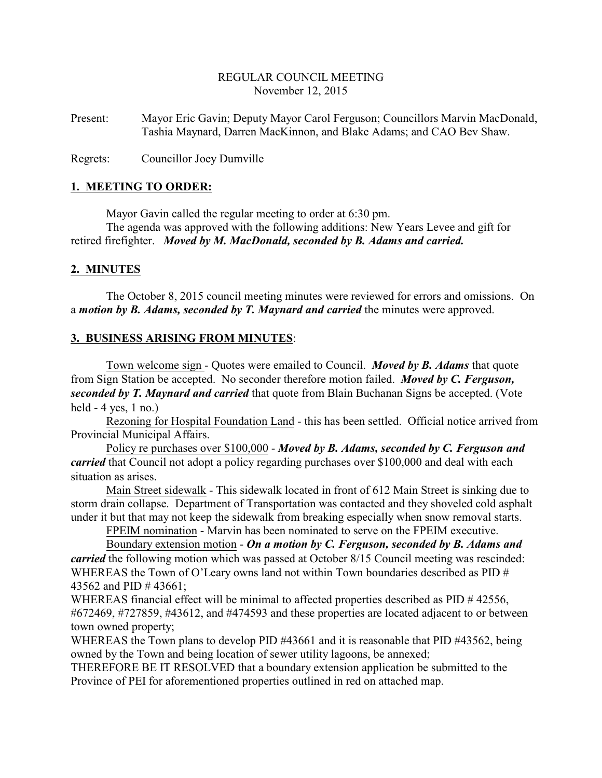#### REGULAR COUNCIL MEETING November 12, 2015

Present: Mayor Eric Gavin; Deputy Mayor Carol Ferguson; Councillors Marvin MacDonald, Tashia Maynard, Darren MacKinnon, and Blake Adams; and CAO Bev Shaw.

Regrets: Councillor Joey Dumville

#### **1. MEETING TO ORDER:**

Mayor Gavin called the regular meeting to order at 6:30 pm.

The agenda was approved with the following additions: New Years Levee and gift for retired firefighter. *Moved by M. MacDonald, seconded by B. Adams and carried.*

## **2. MINUTES**

The October 8, 2015 council meeting minutes were reviewed for errors and omissions. On a *motion by B. Adams, seconded by T. Maynard and carried* the minutes were approved.

## **3. BUSINESS ARISING FROM MINUTES**:

Town welcome sign - Quotes were emailed to Council. *Moved by B. Adams* that quote from Sign Station be accepted. No seconder therefore motion failed. *Moved by C. Ferguson, seconded by T. Maynard and carried* that quote from Blain Buchanan Signs be accepted. (Vote held  $-4$  yes, 1 no.)

Rezoning for Hospital Foundation Land - this has been settled. Official notice arrived from Provincial Municipal Affairs.

Policy re purchases over \$100,000 - *Moved by B. Adams, seconded by C. Ferguson and carried* that Council not adopt a policy regarding purchases over \$100,000 and deal with each situation as arises.

Main Street sidewalk - This sidewalk located in front of 612 Main Street is sinking due to storm drain collapse. Department of Transportation was contacted and they shoveled cold asphalt under it but that may not keep the sidewalk from breaking especially when snow removal starts.

FPEIM nomination - Marvin has been nominated to serve on the FPEIM executive.

Boundary extension motion - *On a motion by C. Ferguson, seconded by B. Adams and carried* the following motion which was passed at October 8/15 Council meeting was rescinded: WHEREAS the Town of O'Leary owns land not within Town boundaries described as PID # 43562 and PID # 43661;

WHEREAS financial effect will be minimal to affected properties described as PID # 42556, #672469, #727859, #43612, and #474593 and these properties are located adjacent to or between town owned property;

WHEREAS the Town plans to develop PID #43661 and it is reasonable that PID #43562, being owned by the Town and being location of sewer utility lagoons, be annexed;

THEREFORE BE IT RESOLVED that a boundary extension application be submitted to the Province of PEI for aforementioned properties outlined in red on attached map.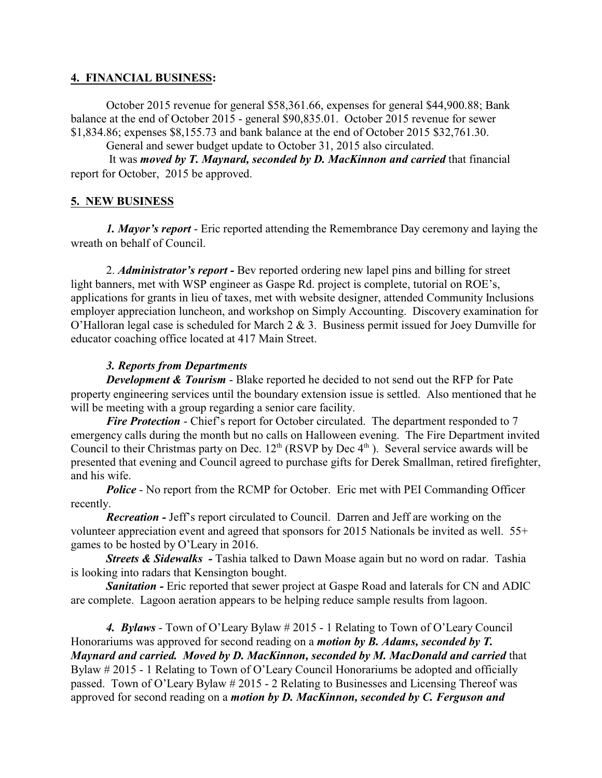## **4. FINANCIAL BUSINESS:**

October 2015 revenue for general \$58,361.66, expenses for general \$44,900.88; Bank balance at the end of October 2015 - general \$90,835.01. October 2015 revenue for sewer \$1,834.86; expenses \$8,155.73 and bank balance at the end of October 2015 \$32,761.30.

General and sewer budget update to October 31, 2015 also circulated.

 It was *moved by T. Maynard, seconded by D. MacKinnon and carried* that financial report for October, 2015 be approved.

## **5. NEW BUSINESS**

*1. Mayor's report* - Eric reported attending the Remembrance Day ceremony and laying the wreath on behalf of Council.

2. *Administrator's report -* Bev reported ordering new lapel pins and billing for street light banners, met with WSP engineer as Gaspe Rd. project is complete, tutorial on ROE's, applications for grants in lieu of taxes, met with website designer, attended Community Inclusions employer appreciation luncheon, and workshop on Simply Accounting. Discovery examination for O'Halloran legal case is scheduled for March 2 & 3. Business permit issued for Joey Dumville for educator coaching office located at 417 Main Street.

## *3. Reports from Departments*

*Development & Tourism* - Blake reported he decided to not send out the RFP for Pate property engineering services until the boundary extension issue is settled. Also mentioned that he will be meeting with a group regarding a senior care facility.

*Fire Protection* - Chief's report for October circulated. The department responded to 7 emergency calls during the month but no calls on Halloween evening. The Fire Department invited Council to their Christmas party on Dec.  $12<sup>th</sup>$  (RSVP by Dec  $4<sup>th</sup>$ ). Several service awards will be presented that evening and Council agreed to purchase gifts for Derek Smallman, retired firefighter, and his wife.

*Police* - No report from the RCMP for October. Eric met with PEI Commanding Officer recently.

*Recreation -* Jeff's report circulated to Council. Darren and Jeff are working on the volunteer appreciation event and agreed that sponsors for 2015 Nationals be invited as well. 55+ games to be hosted by O'Leary in 2016.

*Streets & Sidewalks -* Tashia talked to Dawn Moase again but no word on radar. Tashia is looking into radars that Kensington bought.

**Sanitation -** Eric reported that sewer project at Gaspe Road and laterals for CN and ADIC are complete. Lagoon aeration appears to be helping reduce sample results from lagoon.

*4. Bylaws* - Town of O'Leary Bylaw # 2015 - 1 Relating to Town of O'Leary Council Honorariums was approved for second reading on a *motion by B. Adams, seconded by T. Maynard and carried. Moved by D. MacKinnon, seconded by M. MacDonald and carried* that Bylaw # 2015 - 1 Relating to Town of O'Leary Council Honorariums be adopted and officially passed. Town of O'Leary Bylaw # 2015 - 2 Relating to Businesses and Licensing Thereof was approved for second reading on a *motion by D. MacKinnon, seconded by C. Ferguson and*